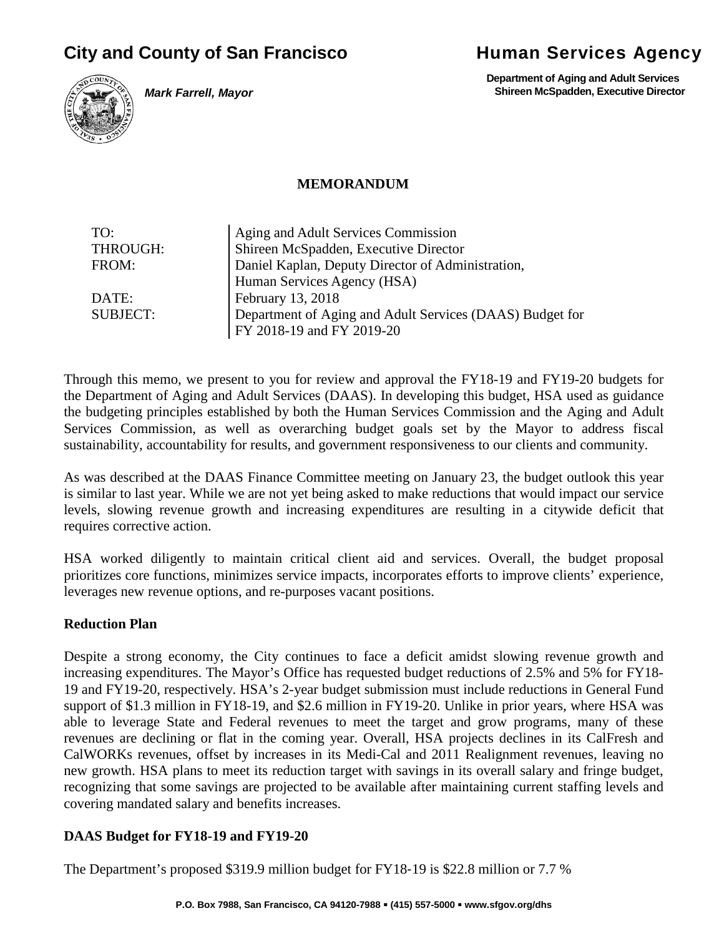# **City and County of San Francisco State Human Services Agency**



**Department of Aging and Adult Services Shireen McSpadden, Executive Director**



*Mark Farrell, Mayor*

#### **MEMORANDUM**

| TO:             | Aging and Adult Services Commission                      |  |  |
|-----------------|----------------------------------------------------------|--|--|
| THROUGH:        | Shireen McSpadden, Executive Director                    |  |  |
| FROM:           | Daniel Kaplan, Deputy Director of Administration,        |  |  |
|                 | Human Services Agency (HSA)                              |  |  |
| DATE:           | February 13, 2018                                        |  |  |
| <b>SUBJECT:</b> | Department of Aging and Adult Services (DAAS) Budget for |  |  |
|                 | FY 2018-19 and FY 2019-20                                |  |  |

Through this memo, we present to you for review and approval the FY18-19 and FY19-20 budgets for the Department of Aging and Adult Services (DAAS). In developing this budget, HSA used as guidance the budgeting principles established by both the Human Services Commission and the Aging and Adult Services Commission, as well as overarching budget goals set by the Mayor to address fiscal sustainability, accountability for results, and government responsiveness to our clients and community.

As was described at the DAAS Finance Committee meeting on January 23, the budget outlook this year is similar to last year. While we are not yet being asked to make reductions that would impact our service levels, slowing revenue growth and increasing expenditures are resulting in a citywide deficit that requires corrective action.

HSA worked diligently to maintain critical client aid and services. Overall, the budget proposal prioritizes core functions, minimizes service impacts, incorporates efforts to improve clients' experience, leverages new revenue options, and re-purposes vacant positions.

## **Reduction Plan**

Despite a strong economy, the City continues to face a deficit amidst slowing revenue growth and increasing expenditures. The Mayor's Office has requested budget reductions of 2.5% and 5% for FY18- 19 and FY19-20, respectively. HSA's 2-year budget submission must include reductions in General Fund support of \$1.3 million in FY18-19, and \$2.6 million in FY19-20. Unlike in prior years, where HSA was able to leverage State and Federal revenues to meet the target and grow programs, many of these revenues are declining or flat in the coming year. Overall, HSA projects declines in its CalFresh and CalWORKs revenues, offset by increases in its Medi-Cal and 2011 Realignment revenues, leaving no new growth. HSA plans to meet its reduction target with savings in its overall salary and fringe budget, recognizing that some savings are projected to be available after maintaining current staffing levels and covering mandated salary and benefits increases.

#### **DAAS Budget for FY18-19 and FY19-20**

The Department's proposed \$319.9 million budget for FY18-19 is \$22.8 million or 7.7 %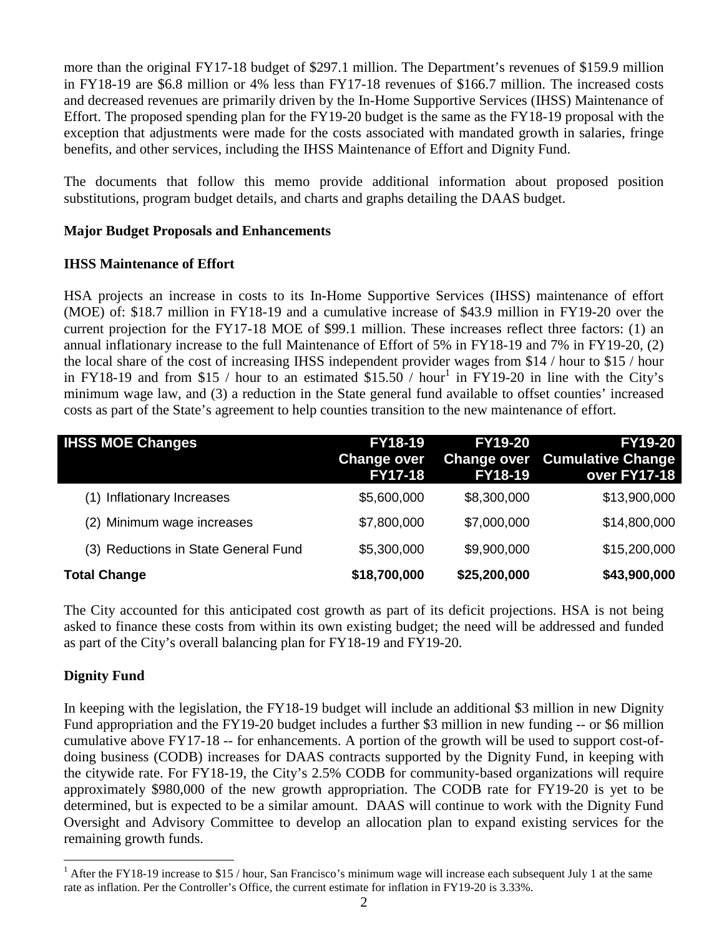more than the original FY17-18 budget of \$297.1 million. The Department's revenues of \$159.9 million in FY18-19 are \$6.8 million or 4% less than FY17-18 revenues of \$166.7 million. The increased costs and decreased revenues are primarily driven by the In-Home Supportive Services (IHSS) Maintenance of Effort. The proposed spending plan for the FY19-20 budget is the same as the FY18-19 proposal with the exception that adjustments were made for the costs associated with mandated growth in salaries, fringe benefits, and other services, including the IHSS Maintenance of Effort and Dignity Fund.

The documents that follow this memo provide additional information about proposed position substitutions, program budget details, and charts and graphs detailing the DAAS budget.

#### **Major Budget Proposals and Enhancements**

#### **IHSS Maintenance of Effort**

HSA projects an increase in costs to its In-Home Supportive Services (IHSS) maintenance of effort (MOE) of: \$18.7 million in FY18-19 and a cumulative increase of \$43.9 million in FY19-20 over the current projection for the FY17-18 MOE of \$99.1 million. These increases reflect three factors: (1) an annual inflationary increase to the full Maintenance of Effort of 5% in FY18-19 and 7% in FY19-20, (2) the local share of the cost of increasing IHSS independent provider wages from \$14 / hour to \$15 / hour in FY18-19 and from \$15 / hour to an estimated  $$15.50$  / hour<sup>1</sup> in FY19-20 in line with the City's minimum wage law, and (3) a reduction in the State general fund available to offset counties' increased costs as part of the State's agreement to help counties transition to the new maintenance of effort.

| <b>IHSS MOE Changes</b>              | <b>FY18-19</b><br><b>Change over</b><br><b>FY17-18</b> | <b>FY19-20</b><br><b>Change over</b><br><b>FY18-19</b> | <b>FY19-20</b><br><b>Cumulative Change</b><br>over FY17-18 |
|--------------------------------------|--------------------------------------------------------|--------------------------------------------------------|------------------------------------------------------------|
| Inflationary Increases<br>(1)        | \$5,600,000                                            | \$8,300,000                                            | \$13,900,000                                               |
| (2) Minimum wage increases           | \$7,800,000                                            | \$7,000,000                                            | \$14,800,000                                               |
| (3) Reductions in State General Fund | \$5,300,000                                            | \$9,900,000                                            | \$15,200,000                                               |
| <b>Total Change</b>                  | \$18,700,000                                           | \$25,200,000                                           | \$43,900,000                                               |

The City accounted for this anticipated cost growth as part of its deficit projections. HSA is not being asked to finance these costs from within its own existing budget; the need will be addressed and funded as part of the City's overall balancing plan for FY18-19 and FY19-20.

## **Dignity Fund**

In keeping with the legislation, the FY18-19 budget will include an additional \$3 million in new Dignity Fund appropriation and the FY19-20 budget includes a further \$3 million in new funding -- or \$6 million cumulative above FY17-18 -- for enhancements. A portion of the growth will be used to support cost-ofdoing business (CODB) increases for DAAS contracts supported by the Dignity Fund, in keeping with the citywide rate. For FY18-19, the City's 2.5% CODB for community-based organizations will require approximately \$980,000 of the new growth appropriation. The CODB rate for FY19-20 is yet to be determined, but is expected to be a similar amount. DAAS will continue to work with the Dignity Fund Oversight and Advisory Committee to develop an allocation plan to expand existing services for the remaining growth funds.

 $1$  After the FY18-19 increase to \$15 / hour, San Francisco's minimum wage will increase each subsequent July 1 at the same rate as inflation. Per the Controller's Office, the current estimate for inflation in FY19-20 is 3.33%.